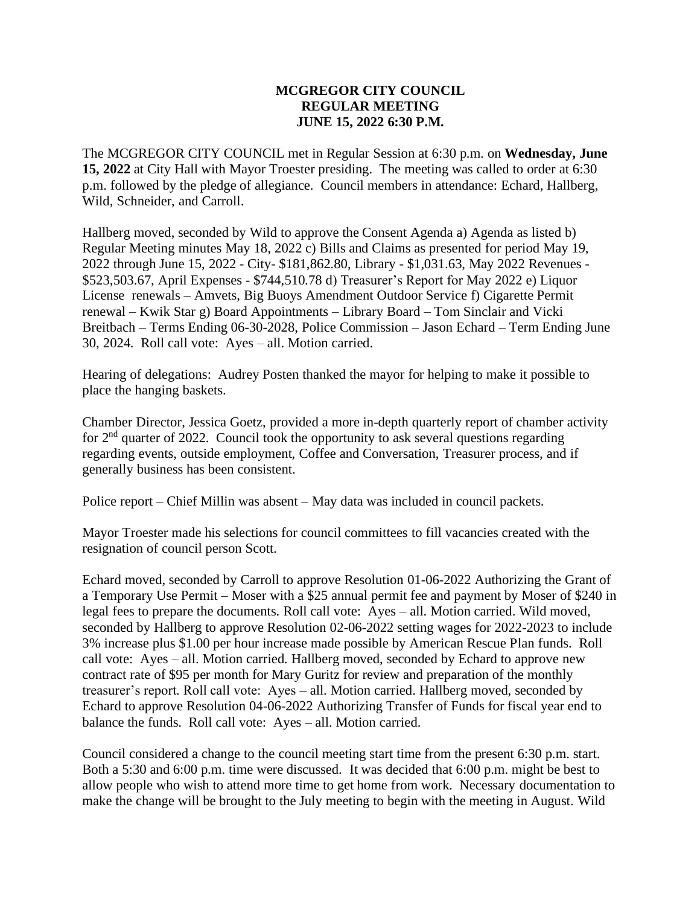## **MCGREGOR CITY COUNCIL REGULAR MEETING JUNE 15, 2022 6:30 P.M.**

The MCGREGOR CITY COUNCIL met in Regular Session at 6:30 p.m. on **Wednesday, June 15, 2022** at City Hall with Mayor Troester presiding. The meeting was called to order at 6:30 p.m. followed by the pledge of allegiance. Council members in attendance: Echard, Hallberg, Wild, Schneider, and Carroll.

Hallberg moved, seconded by Wild to approve the Consent Agenda a) Agenda as listed b) Regular Meeting minutes May 18, 2022 c) Bills and Claims as presented for period May 19, 2022 through June 15, 2022 - City- \$181,862.80, Library - \$1,031.63, May 2022 Revenues - \$523,503.67, April Expenses - \$744,510.78 d) Treasurer's Report for May 2022 e) Liquor License renewals – Amvets, Big Buoys Amendment Outdoor Service f) Cigarette Permit renewal – Kwik Star g) Board Appointments – Library Board – Tom Sinclair and Vicki Breitbach – Terms Ending 06-30-2028, Police Commission – Jason Echard – Term Ending June 30, 2024. Roll call vote: Ayes – all. Motion carried.

Hearing of delegations: Audrey Posten thanked the mayor for helping to make it possible to place the hanging baskets.

Chamber Director, Jessica Goetz, provided a more in-depth quarterly report of chamber activity for  $2<sup>nd</sup>$  quarter of 2022. Council took the opportunity to ask several questions regarding regarding events, outside employment, Coffee and Conversation, Treasurer process, and if generally business has been consistent.

Police report – Chief Millin was absent – May data was included in council packets.

Mayor Troester made his selections for council committees to fill vacancies created with the resignation of council person Scott.

Echard moved, seconded by Carroll to approve Resolution 01-06-2022 Authorizing the Grant of a Temporary Use Permit – Moser with a \$25 annual permit fee and payment by Moser of \$240 in legal fees to prepare the documents. Roll call vote: Ayes – all. Motion carried. Wild moved, seconded by Hallberg to approve Resolution 02-06-2022 setting wages for 2022-2023 to include 3% increase plus \$1.00 per hour increase made possible by American Rescue Plan funds. Roll call vote: Ayes – all. Motion carried. Hallberg moved, seconded by Echard to approve new contract rate of \$95 per month for Mary Guritz for review and preparation of the monthly treasurer's report. Roll call vote: Ayes – all. Motion carried. Hallberg moved, seconded by Echard to approve Resolution 04-06-2022 Authorizing Transfer of Funds for fiscal year end to balance the funds. Roll call vote: Ayes – all. Motion carried.

Council considered a change to the council meeting start time from the present 6:30 p.m. start. Both a 5:30 and 6:00 p.m. time were discussed. It was decided that 6:00 p.m. might be best to allow people who wish to attend more time to get home from work. Necessary documentation to make the change will be brought to the July meeting to begin with the meeting in August. Wild